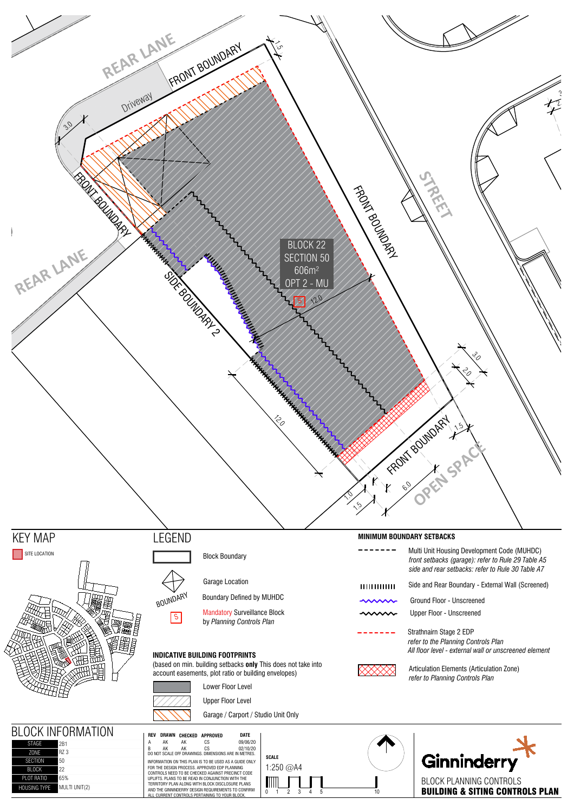